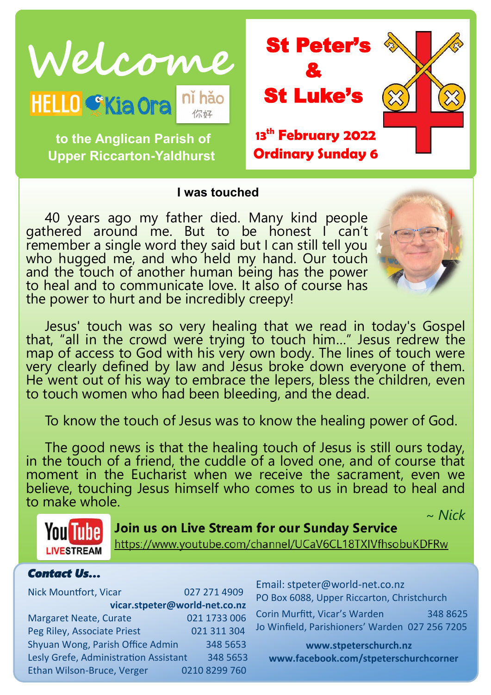

**to the Anglican Parish of** 

**Upper Riccarton-Yaldhurst**

& St Luke's **13th February 2022 Ordinary Sunday 6**

#### **I was touched**

40 years ago my father died. Many kind people gathered around me. But to be honest I can't remember a single word they said but I can still tell you who hugged me, and who held my hand. Our touch and the touch of another human being has the power to heal and to communicate love. It also of course has the power to hurt and be incredibly creepy!



Jesus' touch was so very healing that we read in today's Gospel that, "all in the crowd were trying to touch him…" Jesus redrew the map of access to God with his very own body. The lines of touch were very clearly defined by law and Jesus broke down everyone of them. He went out of his way to embrace the lepers, bless the children, even to touch women who had been bleeding, and the dead.

To know the touch of Jesus was to know the healing power of God.

The good news is that the healing touch of Jesus is still ours today, in the touch of a friend, the cuddle of a loved one, and of course that moment in the Eucharist when we receive the sacrament, even we believe, touching Jesus himself who comes to us in bread to heal and to make whole.



# ~ *Nick*

https://www.youtube.com/channel/UCaV6CL18TXIVfhsobuKDFRw

#### *Contact Us…*

| <b>Nick Mountfort, Vicar</b>          | 027 271 4909  |  |
|---------------------------------------|---------------|--|
| vicar.stpeter@world-net.co.nz         |               |  |
| <b>Margaret Neate, Curate</b>         | 021 1733 006  |  |
| Peg Riley, Associate Priest           | 021 311 304   |  |
| Shyuan Wong, Parish Office Admin      | 348 5653      |  |
| Lesly Grefe, Administration Assistant | 348 5653      |  |
| Ethan Wilson-Bruce, Verger            | 0210 8299 760 |  |

Email: stpeter@world-net.co.nz PO Box 6088, Upper Riccarton, Christchurch Corin Murfitt, Vicar's Warden 348 8625

Jo Winfield, Parishioners' Warden 027 256 7205

**www.stpeterschurch.nz www.facebook.com/stpeterschurchcorner**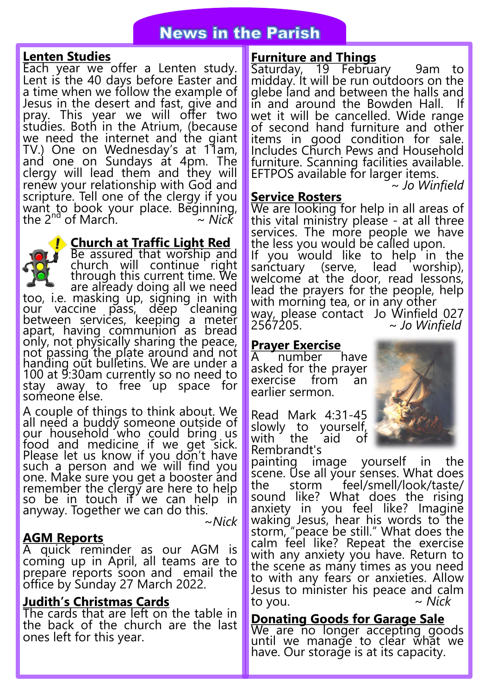### **News in the Parish**

#### **Lenten Studies**

Each year we offer a Lenten study. Lent is the 40 days before Easter and a time when we follow the example of Jesus in the desert and fast, give and pray. This year we will offer two studies. Both in the Atrium, (because we need the internet and the giant TV.) One on Wednesday's at 11am, and one on Sundays at 4pm. The clergy will lead them and they will renew your relationship with God and scripture. Tell one of the clergy if you want to book your place. Beginning, the 2nd of March. ~ *Nick*

**Church at Traffic Light Red**

Be assured that worship and church will continue right through this current time. We are already doing all we need too, i.e. masking up, signing in with our vaccine pass, deep cleaning between services, keeping a meter apart, having communion as bread only, not physically sharing the peace, not passing the plate around and not handing out bulletins. We are under a 100 at 9:30am currently so no need to stay away to free up space for someone else.

A couple of things to think about. We all need a buddy someone outside of our household who could bring us food and medicine if we get sick. Please let us know if you don't have such a person and we will find you one. Make sure you get a booster and remember the clergy are here to help so be in touch if we can help in anyway. Together we can do this. ~*Nick*

#### **AGM Reports**

A quick reminder as our AGM is coming up in April, all teams are to prepare reports soon and email the office by Sunday 27 March 2022.

#### **Judith's Christmas Cards**

The cards that are left on the table in the back of the church are the last ones left for this year.

#### **Furniture and Things**

Saturday, 19 February 9am to midday. It will be run outdoors on the glebe land and between the halls and in and around the Bowden Hall. wet it will be cancelled. Wide range of second hand furniture and other items in good condition for sale. Includes Church Pews and Household furniture. Scanning facilities available. EFTPOS available for larger items.

~ *Jo Winfield*

#### **Service Rosters**

We are looking for help in all areas of this vital ministry please - at all three services. The more people we have the less you would be called upon. If you would like to help in the sanctuary (serve, lead worship), welcome at the door, read lessons, lead the prayers for the people, help with morning tea, or in any other way, please contact Jo Winfield 027<br>2567205.  $\sim$  Jo Winfield ~ *Jo Winfield* 

#### **Prayer Exercise**

A number have asked for the prayer exercise from an earlier sermon.

Read Mark 4:31-45 slowly to yourself, with the aid of Rembrandt's

painting image yourself in the scene. Use all your senses. What does the storm feel/smell/look/taste/ sound like? What does the rising anxiety in you feel like? Imagine waking Jesus, hear his words to the storm, "peace be still." What does the calm feel like? Repeat the exercise with any anxiety you have. Return to the scene as many times as you need to with any fears or anxieties. Allow Jesus to minister his peace and calm to you. ~ *Nick*

#### **Donating Goods for Garage Sale**

We are no longer accepting goods until we manage to clear what we have. Our storage is at its capacity.

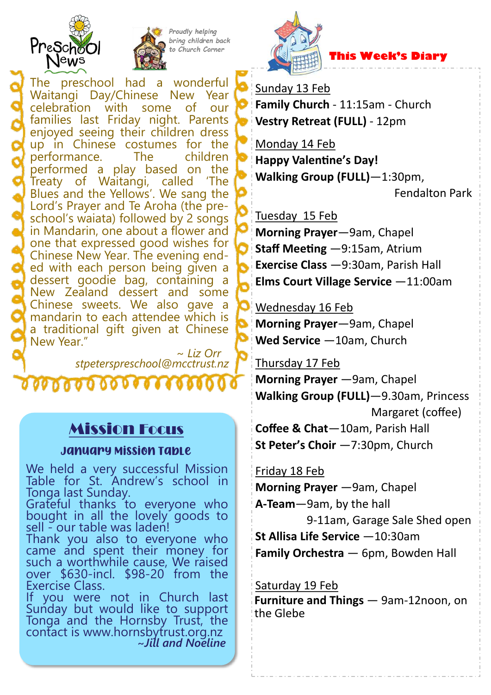



Proudly helping bring children back to Church Corner

The preschool had a wonderful Waitangi Day/Chinese New Year celebration with some of our families last Friday night. Parents enjoyed seeing their children dress up in Chinese costumes for the performance. The children performed a play based on the Treaty of Waitangi, called 'The Blues and the Yellows'. We sang the Lord's Prayer and Te Aroha (the preschool's waiata) followed by 2 songs in Mandarin, one about a flower and one that expressed good wishes for Chinese New Year. The evening ended with each person being given a dessert goodie bag, containing a New Zealand dessert and some Chinese sweets. We also gave a mandarin to each attendee which is a traditional gift given at Chinese New Year."

 ~ *Liz Orr stpeterspreschool@mcctrust.nz*

0000000000000

### Mission Focus

#### January Mission Table

We held a very successful Mission Table for St. Andrew's school in Tonga last Sunday.

Grateful thanks to everyone who bought in all the lovely goods to sell - our table was laden!

Thank you also to everyone who came and spent their money for such a worthwhile cause, We raised over \$630-incl. \$98-20 from the Exercise Class.

If you were not in Church last Sunday but would like to support Tonga and the Hornsby Trust, the contact is www.hornsbytrust.org.nz **~***Jill and Noeline*



#### Sunday 13 Feb

**Family Church** - 11:15am - Church **Vestry Retreat (FULL)** - 12pm

Monday 14 Feb **Happy Valentine's Day! Walking Group (FULL)**—1:30pm,

Fendalton Park

Tuesday 15 Feb

**Morning Prayer**—9am, Chapel **Staff Meeting** —9:15am, Atrium **Exercise Class** —9:30am, Parish Hall **Elms Court Village Service** —11:00am

Wednesday 16 Feb

**Morning Prayer**—9am, Chapel **Wed Service** —10am, Church

#### Thursday 17 Feb

**Morning Prayer** —9am, Chapel **Walking Group (FULL)**—9.30am, Princess Margaret (coffee)

**Coffee & Chat**—10am, Parish Hall **St Peter's Choir** —7:30pm, Church

Friday 18 Feb

**Morning Prayer** —9am, Chapel

**A-Team**—9am, by the hall 9-11am, Garage Sale Shed open

**St Allisa Life Service** —10:30am

**Family Orchestra** — 6pm, Bowden Hall

#### Saturday 19 Feb

**Furniture and Things** — 9am-12noon, on the Glebe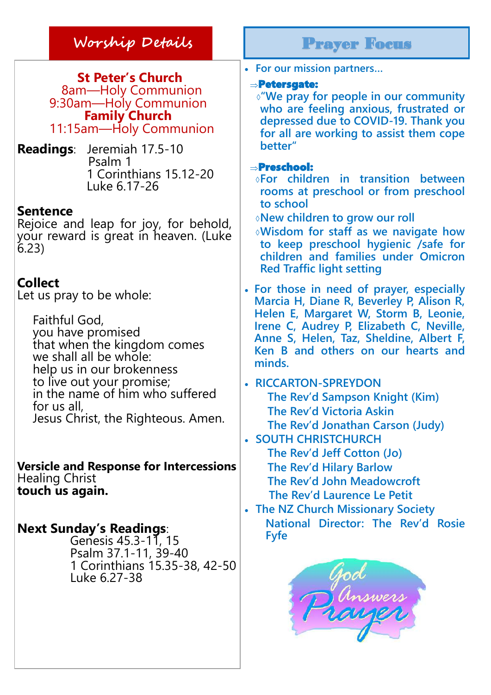### **Worship Details** Prayer Focus

**St Peter's Church** 8am—Holy Communion 9:30am—Holy Communion **Family Church** 11:15am—Holy Communion

**Readings**: Jeremiah 17.5-10 Psalm 1 1 Corinthians 15.12-20 Luke 6.17-26

#### **Sentence**

Rejoice and leap for joy, for behold, your reward is great in heaven. (Luke 6.23)

### **Collect**

Let us pray to be whole:

Faithful God, you have promised that when the kingdom comes we shall all be whole: help us in our brokenness to live out your promise; in the name of him who suffered for us all, Jesus Christ, the Righteous. Amen.

**Versicle and Response for Intercessions** Healing Christ **touch us again.**

### **Next Sunday's Readings**:

Genesis 45.3-11, 15 Psalm 37.1-11, 39-40 1 Corinthians 15.35-38, 42-50 Luke 6.27-38

**For our mission partners…**

#### Petersgate:

**"We pray for people in our community who are feeling anxious, frustrated or depressed due to COVID-19. Thank you for all are working to assist them cope better"**

#### Preschool:

- **For children in transition between rooms at preschool or from preschool to school**
- **New children to grow our roll**
- **Wisdom for staff as we navigate how to keep preschool hygienic /safe for children and families under Omicron Red Traffic light setting**
- **For those in need of prayer, especially Marcia H, Diane R, Beverley P, Alison R, Helen E, Margaret W, Storm B, Leonie, Irene C, Audrey P, Elizabeth C, Neville, Anne S, Helen, Taz, Sheldine, Albert F, Ken B and others on our hearts and minds.**
- **RICCARTON-SPREYDON The Rev'd Sampson Knight (Kim) The Rev'd Victoria Askin The Rev'd Jonathan Carson (Judy)**
- **SOUTH CHRISTCHURCH The Rev'd Jeff Cotton (Jo) The Rev'd Hilary Barlow The Rev'd John Meadowcroft The Rev'd Laurence Le Petit**
- **The NZ Church Missionary Society National Director: The Rev'd Rosie Fyfe**